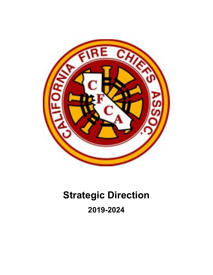

# **Strategic Direction 2019-2024**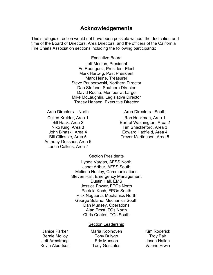# **Acknowledgements**

This strategic direction would not have been possible without the dedication and time of the Board of Directors, Area Directors, and the officers of the California Fire Chiefs Association sections including the following participants:

#### Executive Board

Jeff Meston, President Ed Rodriguez, President-Elect Mark Hartwig, Past President Mark Heine, Treasurer Steve Prziborowski, Northern Director Dan Stefano, Southern Director David Rocha, Member-at-Large Mike McLaughlin, Legislative Director Tracey Hansen, Executive Director

Area Directors – North Area Directors - South

Anthony Gossner, Area 6 Lance Calkins, Area 7

Cullen Kreider, Area 1 Rob Heckman, Area 1 Bill Hack, Area 2 **Bertral Washington, Area 2** Niko King, Area 3 Tim Shackleford, Area 3 John Binaski, Area 4 **Edward Hadfield, Area 4** Bill Gillespie, Area 5 Trever Martinusen, Area 5

#### Section Presidents

Lynda Vargas, AFSS North Janet Arthur, AFSS South Melinda Hunley, Communications Steven Hall, Emergency Management Dustin Hall, EMS Jessica Power, FPOs North Patricia Koch, FPOs South Rick Nogueria, Mechanics North George Solano, Mechanics South Dan Munsey, Operations Alan Ernst, TOs North Chris Coates, TOs South

#### Section Leadership

Janice Parker **Maria Koolhoven** Kim Roderick Bernie Molloy **Tony Bulygo** Troy Bair Jeff Armstrong Eric Munson Jason Nailon Kevin Albertson Tony Gonzales Valerie Erwin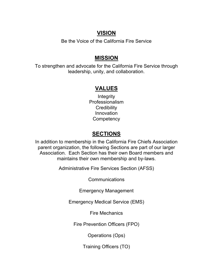# **VISION**

Be the Voice of the California Fire Service

# **MISSION**

To strengthen and advocate for the California Fire Service through leadership, unity, and collaboration.

# **VALUES**

**Integrity** Professionalism **Credibility** Innovation **Competency** 

# **SECTIONS**

In addition to membership in the California Fire Chiefs Association parent organization, the following Sections are part of our larger Association. Each Section has their own Board members and maintains their own membership and by-laws.

Administrative Fire Services Section (AFSS)

**Communications** 

Emergency Management

Emergency Medical Service (EMS)

Fire Mechanics

Fire Prevention Officers (FPO)

Operations (Ops)

Training Officers (TO)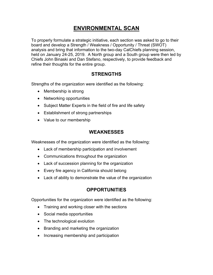# **ENVIRONMENTAL SCAN**

To properly formulate a strategic initiative, each section was asked to go to their board and develop a Strength / Weakness / Opportunity / Threat (SWOT) analysis and bring that information to the two-day CalChiefs planning session, held on January 24-25, 2019. A North group and a South group were then led by Chiefs John Binaski and Dan Stefano, respectively, to provide feedback and refine their thoughts for the entire group.

# **STRENGTHS**

Strengths of the organization were identified as the following:

- Membership is strong
- Networking opportunities
- Subject Matter Experts in the field of fire and life safety
- Establishment of strong partnerships
- Value to our membership

### **WEAKNESSES**

Weaknesses of the organization were identified as the following:

- Lack of membership participation and involvement
- Communications throughout the organization
- Lack of succession planning for the organization
- Every fire agency in California should belong
- Lack of ability to demonstrate the value of the organization

# **OPPORTUNITIES**

Opportunities for the organization were identified as the following:

- Training and working closer with the sections
- Social media opportunities
- The technological evolution
- Branding and marketing the organization
- Increasing membership and participation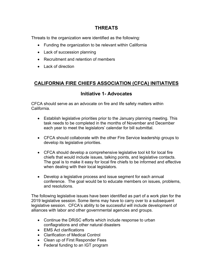### **THREATS**

Threats to the organization were identified as the following:

- Funding the organization to be relevant within California
- Lack of succession planning
- Recruitment and retention of members
- Lack of direction

# **CALIFORNIA FIRE CHIEFS ASSOCIATION (CFCA) INITIATIVES**

### **Initiative 1- Advocates**

CFCA should serve as an advocate on fire and life safety matters within California.

- Establish legislative priorities prior to the January planning meeting. This task needs to be completed in the months of November and December each year to meet the legislators' calendar for bill submittal.
- CFCA should collaborate with the other Fire Service leadership groups to develop its legislative priorities.
- CFCA should develop a comprehensive legislative tool kit for local fire chiefs that would include issues, talking points, and legislative contacts. The goal is to make it easy for local fire chiefs to be informed and effective when dealing with their local legislators.
- Develop a legislative process and issue segment for each annual conference. The goal would be to educate members on issues, problems, and resolutions.

The following legislative issues have been identified as part of a work plan for the 2019 legislative session. Some items may have to carry over to a subsequent legislative session. CFCA's ability to be successful will include development of alliances with labor and other governmental agencies and groups.

- Continue the DRiSC efforts which include response to urban conflagrations and other natural disasters
- EMS Act clarifications
- Clarification of Medical Control
- Clean up of First Responder Fees
- Federal funding to an IGT program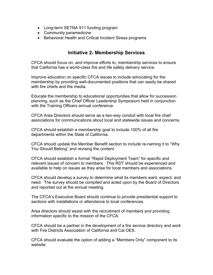- Long-term SETNA 911 funding program
- Community paramedicine
- Behavioral Health and Critical Incident Stress programs

### **Initiative 2- Membership Services**

CFCA should focus on, and improve efforts to, membership services to ensure that California has a world-class fire and life safety delivery service.

Improve education on specific CFCA issues to include advocating for the membership by providing well-documented positions that can easily be shared with fire chiefs and the media.

Educate the membership to educational opportunities that allow for succession planning, such as the Chief Officer Leadership Symposium held in conjunction with the Training Officers annual conference.

CFCA Area Directors should serve as a two-way conduit with local fire chief associations for communications about local and statewide issues and concerns.

CFCA should establish a membership goal to include 100% of all fire departments within the State of California.

CFCA should update the Member Benefit section to include re-naming it to "Why You Should Belong" and revising the content.

CFCA should establish a formal "Rapid Deployment Team" for specific and relevant issues of concern to members. This RDT should be experienced and available to help on issues as they arise for local members and associations.

CFCA should develop a survey to determine what its members want, expect, and need. The survey should be compiled and acted upon by the Board of Directors and reported out at the annual meeting.

The CFCA's Executive Board should continue to provide presidential support to sections with installations or attendance to local conferences.

Area directors should assist with the recruitment of members and providing information specific to the mission of the CFCA.

CFCA should be a partner in the development of a fire service directory and work with Fire Districts Association of California and Cal OES.

CFCA should evaluate the option of adding a "Members Only" component to its website.